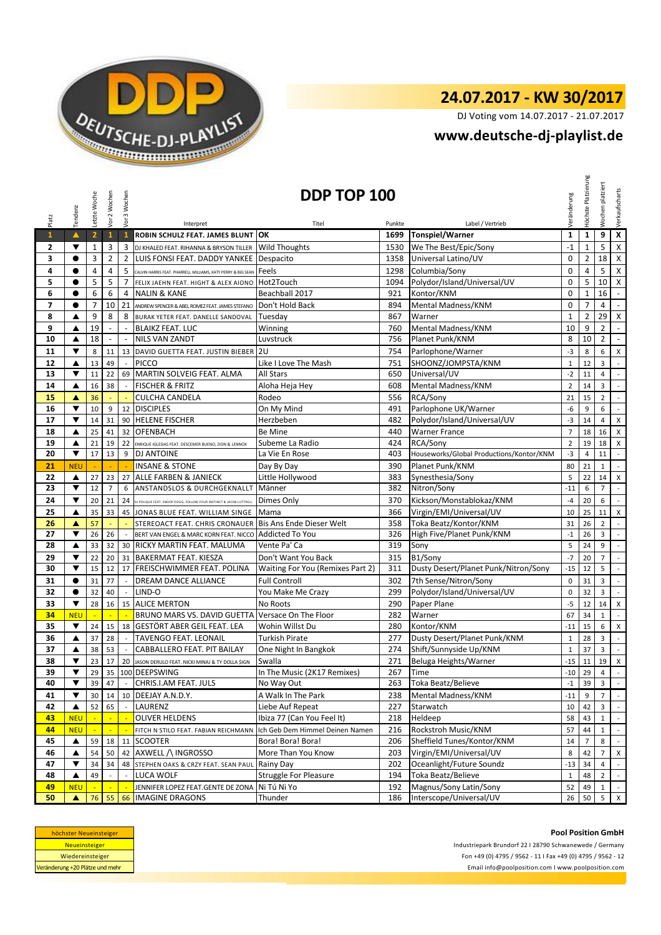

# **24.07.2017 - KW 30/2017**

DJ Voting vom 14.07.2017 - 21.07.2017

### **<www.deutsche-dj-playlist.de>**

| Platz          | Tendenz              | Letzte Woche   | Vor 2 Wochen   | Vor 3 Wochen             | Interpret                                                          | DDP TOP 100<br>Titel                    | Punkte | Label / Vertrieb                         | Veränderung    | Höchste Platzierung | platziert<br>Wochen | Verkaufscharts              |
|----------------|----------------------|----------------|----------------|--------------------------|--------------------------------------------------------------------|-----------------------------------------|--------|------------------------------------------|----------------|---------------------|---------------------|-----------------------------|
| $\mathbf{1}$   | $\blacktriangle$     | $\overline{2}$ | $\mathbf{1}$   | $\mathbf{1}$             | ROBIN SCHULZ FEAT. JAMES BLUNT                                     | OK                                      | 1699   | Tonspiel/Warner                          | $\mathbf{1}$   | $\mathbf 1$         | 9                   | $\overline{\mathbf{x}}$     |
| 2              | ▼                    | $\mathbf 1$    | 3              | 3                        | DJ KHALED FEAT. RIHANNA & BRYSON TILLER                            | <b>Wild Thoughts</b>                    | 1530   | We The Best/Epic/Sony                    | $-1$           | $\mathbf 1$         | 5                   | $\pmb{\mathsf{X}}$          |
| 3              | $\bullet$            | 3              | $\overline{2}$ | $\overline{2}$           | LUIS FONSI FEAT. DADDY YANKEE                                      | Despacito                               | 1358   | Universal Latino/UV                      | $\mathbf 0$    | $\overline{2}$      | 18                  | $\pmb{\times}$              |
| 4              | $\bullet$            | 4              | 4              | 5                        | CALVIN HARRIS FEAT. PHARRELL WILLIAMS, KATY PERRY & BIG SEAN       | Feels                                   | 1298   | Columbia/Sony                            | 0              | 4                   | 5                   | $\pmb{\mathsf{X}}$          |
| 5              | $\bullet$            | 5              | 5              | $\overline{7}$           | FELIX JAEHN FEAT. HIGHT & ALEX AIONO                               | Hot2Touch                               | 1094   | Polydor/Island/Universal/UV              | $\mathbf 0$    | 5                   | 10                  | $\pmb{\mathsf{X}}$          |
| 6              | $\bullet$            | 6              | 6              | 4                        | <b>NALIN &amp; KANE</b>                                            | Beachball 2017                          | 921    | Kontor/KNM                               | $\Omega$       | $\mathbf 1$         | 16                  | $\blacksquare$              |
| $\overline{7}$ | $\bullet$            | 7              | 10             | 21                       | ANDREW SPENCER & ABEL ROMEZ FEAT. JAMES STEFANO                    | Don't Hold Back                         | 894    | Mental Madness/KNM                       | $\mathbf 0$    | $\overline{7}$      | $\overline{4}$      | $\omega$                    |
| 8              | ▲                    | 9              | 8              | 8                        | BURAK YETER FEAT. DANELLE SANDOVAL                                 | Tuesdav                                 | 867    | Warner                                   | $\mathbf{1}$   | $\overline{2}$      | 29                  | $\pmb{\chi}$                |
| 9              | ▲                    | 19             | $\overline{a}$ | $\overline{\phantom{a}}$ | <b>BLAIKZ FEAT. LUC</b>                                            | Winning                                 | 760    | Mental Madness/KNM                       | 10             | 9                   | $\overline{2}$      | $\omega$ .                  |
| 10             | ▲                    | 18             | $\sim$         | $\sim$                   | <b>NILS VAN ZANDT</b>                                              | Luvstruck                               | 756    | Planet Punk/KNM                          | 8              | 10                  | $\overline{2}$      | $\omega$                    |
| 11             | $\blacktriangledown$ | 8              | 11             |                          | 13 DAVID GUETTA FEAT. JUSTIN BIEBER 2U                             |                                         | 754    | Parlophone/Warner                        | $-3$           | 8                   | 6                   | $\boldsymbol{\mathsf{X}}$   |
| 12             | ▲                    | 13             | 49             |                          | <b>PICCO</b>                                                       | Like I Love The Mash                    | 751    | SHOONZ/JOMPSTA/KNM                       | $\mathbf{1}$   | 12                  | 3                   | $\mathbb{R}^2$              |
| 13             | ▼                    | 11             | 22             | 69                       | MARTIN SOLVEIG FEAT. ALMA                                          | All Stars                               | 650    | Universal/UV                             | $-2$           | 11                  | 4                   | $\mathbb{Z}^{\mathbb{Z}}$   |
| 14             | ▲                    | 16             | 38             | $\overline{\phantom{a}}$ | <b>FISCHER &amp; FRITZ</b>                                         | Aloha Heja Hey                          | 608    | Mental Madness/KNM                       | $\overline{2}$ | 14                  | 3                   | $\mathcal{L}_{\mathcal{A}}$ |
| 15             | ▲                    | 36             |                |                          | <b>CULCHA CANDELA</b>                                              | Rodeo                                   | 556    | RCA/Sony                                 | 21             | 15                  | $\overline{2}$      | $\mathbb{Z}^2$              |
| 16             | ▼                    | 10             | 9              | 12                       | <b>DISCIPLES</b>                                                   | On My Mind                              | 491    | Parlophone UK/Warner                     | -6             | 9                   | 6                   | $\mathcal{L}^{\mathcal{L}}$ |
| 17             | $\blacktriangledown$ | 14             | 31             | 90                       | <b>HELENE FISCHER</b>                                              | Herzbeben                               | 482    | Polydor/Island/Universal/UV              | $-3$           | 14                  | 4                   | $\pmb{\mathsf{X}}$          |
| 18             | ▲                    | 25             | 41             | 32                       | <b>OFENBACH</b>                                                    | Be Mine                                 | 440    | <b>Warner France</b>                     | $\overline{7}$ | 18                  | 16                  | X                           |
| 19             | ▲                    | 21             | 19             | 22                       | ENRIQUE IGLESIAS FEAT. DESCEMER BUENO, ZION & LENNOX               | Subeme La Radio                         | 424    | <b>RCA/Sony</b>                          | $\overline{2}$ | 19                  | 18                  | X                           |
| 20             | ▼                    | 17             | 13             | 9                        | <b>DJ ANTOINE</b>                                                  | La Vie En Rose                          | 403    | Houseworks/Global Productions/Kontor/KNM | $-3$           | 4                   | 11                  | $\mathbb{Z}^+$              |
| 21             | <b>NEU</b>           |                |                |                          | <b>INSANE &amp; STONE</b>                                          | Day By Day                              | 390    | Planet Punk/KNM                          | 80             | 21                  | $\mathbf 1$         | $\sim$                      |
| 22             | ▲                    | 27             | 23             | 27                       | ALLE FARBEN & JANIECK                                              | Little Hollywood                        | 383    | Synesthesia/Sony                         | 5              | 22                  | 14                  | X                           |
| 23             | ▼                    | 12             | $\overline{7}$ | 6                        | ANSTANDSLOS & DURCHGEKNALLT                                        | Männer                                  | 382    | Nitron/Sony                              | $-11$          | 6                   | $\overline{7}$      | $\mathbb{R}^2$              |
| 24             | $\blacktriangledown$ | 20             | 21             | 24                       | DJ POLIQUE FEAT. SNOOP DOGG, FOLLOW YOUR INSTINCT & JACOB LUTTRELL | Dimes Only                              | 370    | Kickson/Monstablokaz/KNM                 | $-4$           | 20                  | 6                   | $\sim$                      |
| 25             | ▲                    | 35             | 33             |                          | 45 JONAS BLUE FEAT. WILLIAM SINGE                                  | Mama                                    | 366    | Virgin/EMI/Universal/UV                  | 10             | 25                  | 11                  | $\mathsf{X}$                |
| 26             | ▲                    | 57             |                |                          | STEREOACT FEAT. CHRIS CRONAUER Bis Ans Ende Dieser Welt            |                                         | 358    | Toka Beatz/Kontor/KNM                    | 31             | 26                  | $\overline{2}$      | $\blacksquare$              |
| 27             | ▼                    | 26             | 26             | $\overline{\phantom{a}}$ | BERT VAN ENGEL & MARC KORN FEAT. NICCO                             | <b>Addicted To You</b>                  | 326    | High Five/Planet Punk/KNM                | $^{\rm -1}$    | 26                  | 3                   | $\mathcal{L}_{\mathcal{A}}$ |
| 28             | ▲                    | 33             | 32             | 30                       | <b>RICKY MARTIN FEAT. MALUMA</b>                                   | Vente Pa' Ca                            | 319    | Sony                                     | 5              | 24                  | 9                   | $\sim$                      |
| 29             | ▼                    | 22             | 20             | 31                       | <b>BAKERMAT FEAT. KIESZA</b>                                       | Don't Want You Back                     | 315    | B1/Sony                                  | $-7$           | 20                  | $\overline{7}$      | $\sim$                      |
| 30             | ▼                    | 15             | 12             |                          | 17 FREISCHWIMMER FEAT. POLINA                                      | <b>Waiting For You (Remixes Part 2)</b> | 311    | Dusty Desert/Planet Punk/Nitron/Sony     | $-15$          | 12                  | 5                   | $\mathbb{Z}^{\mathbb{Z}}$   |
| 31             | $\bullet$            | 31             | 77             | $\blacksquare$           | DREAM DANCE ALLIANCE                                               | <b>Full Controll</b>                    | 302    | 7th Sense/Nitron/Sony                    | 0              | 31                  | 3                   | $\mathcal{L}_{\mathcal{A}}$ |
| 32             | $\bullet$            | 32             | 40             | $\sim$                   | LIND-O                                                             | You Make Me Crazy                       | 299    | Polydor/Island/Universal/UV              | 0              | 32                  | 3                   | $\mathcal{L}_{\mathcal{A}}$ |
| 33             | ▼                    | 28             | 16             |                          | 15 ALICE MERTON                                                    | No Roots                                | 290    | Paper Plane                              | $-5$           | 12                  | 14                  | $\pmb{\mathsf{X}}$          |
| 34             | <b>NEU</b>           |                | ÷.             | ×.                       | BRUNO MARS VS. DAVID GUETTA Versace On The Floor                   |                                         | 282    | Warner                                   | 67             | 34                  | $\mathbf{1}$        | $\mathbb{Z}^2$              |
| 35             | ▼                    | 24             | 15             | 18                       | <b>GESTÖRT ABER GEIL FEAT. LEA</b>                                 | Wohin Willst Du                         | 280    | Kontor/KNM                               | $-11$          | 15                  | 6                   | X                           |
| 36             | ▲                    | 37             | 28             | $\sim$                   | TAVENGO FEAT. LEONAIL                                              | Turkish Pirate                          | 277    | Dusty Desert/Planet Punk/KNM             | $\mathbf{1}$   | 28                  | 3                   | $\blacksquare$              |
| 37             | ▲                    | 38             | 53             |                          | CABBALLERO FEAT. PIT BAILAY                                        | One Night In Bangkok                    | 274    | Shift/Sunnyside Up/KNM                   | $\mathbf{1}$   | 37                  | 3                   | $\mathcal{L}_{\mathcal{A}}$ |
| 38             | ▼                    | 23             | 17             | 20                       | JASON DERULO FEAT. NICKI MINAJ & TY DOLLA \$IGN                    | Swalla                                  | 271    | Beluga Heights/Warner                    | $-15$          | 11                  | 19                  | X                           |
| 39             |                      | 29             |                |                          | 35   100 DEEPSWING                                                 | In The Music (2K17 Remixes)             | 267    | Time                                     |                | $-10$ 29            | 4                   | $\overline{\phantom{a}}$    |
| 40             | $\blacktriangledown$ | 39             | 47             |                          | CHRIS.I.AM FEAT. JULS                                              | No Way Out                              | 263    | Toka Beatz/Believe                       | $-1$           | 39                  | 3                   | $\sim$                      |
| 41             | ▼                    | 30             | 14             | 10                       | DEEJAY A.N.D.Y.                                                    | A Walk In The Park                      | 238    | Mental Madness/KNM                       | $-11$          | 9                   | $\overline{7}$      | $\sim$                      |
| 42             | ▲                    | 52             | 65             |                          | LAURENZ                                                            | Liebe Auf Repeat                        | 227    | Starwatch                                | 10             | 42                  | 3                   | $\sim$                      |
| 43             | <b>NEU</b>           |                | ÷              | $\mathbb{Z}$             | <b>OLIVER HELDENS</b>                                              | Ibiza 77 (Can You Feel It)              | 218    | Heldeep                                  | 58             | 43                  | $\mathbf{1}$        | $\sim$                      |
| 44             | <b>NEU</b>           |                |                |                          | FITCH N STILO FEAT. FABIAN REICHMANN                               | Ich Geb Dem Himmel Deinen Namen         | 216    | Rockstroh Music/KNM                      | 57             | 44                  | $\mathbf{1}$        | $\blacksquare$              |
| 45             | ▲                    | 59             | 18             | 11                       | <b>SCOOTER</b>                                                     | Bora! Bora! Bora!                       | 206    | Sheffield Tunes/Kontor/KNM               | 14             | $\overline{7}$      | 8                   | $\sim$                      |
| 46             | ▲                    | 54             | 50             | 42                       | AXWELL / INGROSSO                                                  | More Than You Know                      | 203    | Virgin/EMI/Universal/UV                  | 8              | 42                  | $\overline{7}$      | $\mathsf{x}$                |
| 47             | $\blacktriangledown$ | 34             | 34             |                          | 48 STEPHEN OAKS & CRZY FEAT. SEAN PAUL                             | Rainy Day                               | 202    | Oceanlight/Future Soundz                 | $-13$          | 34                  | 4                   | $\sim$                      |
| 48             | ▲                    | 49             |                |                          | LUCA WOLF                                                          | <b>Struggle For Pleasure</b>            | 194    | Toka Beatz/Believe                       | $\mathbf{1}$   | 48                  | $\overline{2}$      | $\sim$                      |
| 49             | <b>NEU</b>           |                |                |                          | JENNIFER LOPEZ FEAT.GENTE DE ZONA                                  | Ni Tú Ni Yo                             | 192    | Magnus/Sony Latin/Sony                   | 52             | 49                  | $\mathbf{1}$        | $\sim$                      |
| 50             | ▲                    | 76             | 55             | 66                       | <b>IMAGINE DRAGONS</b>                                             | Thunder                                 | 186    | Interscope/Universal/UV                  | 26             | 50                  | 5                   | $\mathsf{X}$                |
|                |                      |                |                |                          |                                                                    |                                         |        |                                          |                |                     |                     |                             |

| höchster Neueinsteiger          |
|---------------------------------|
| <b>Neueinsteiger</b>            |
| Wiedereinsteiger                |
| Veränderung +20 Plätze und mehr |

Industriepark Brundorf 22 I 28790 Schwanewede / Germany Fon +49 (0) 4795 / 9562 - 11 I Fax +49 (0) 4795 / 9562 - 12 <Email info@poolposition.com I www.poolposition.com>

#### **Pool Position GmbH**